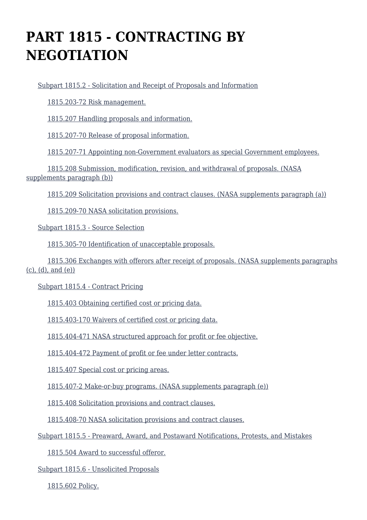# **PART 1815 - CONTRACTING BY NEGOTIATION**

[Subpart 1815.2 - Solicitation and Receipt of Proposals and Information](https://login.acquisition.gov/%5Brp:link:nfs-part-1815%5D#Subpart_1815_2_T48_60418141)

[1815.203-72 Risk management.](https://login.acquisition.gov/%5Brp:link:nfs-part-1815%5D#Section_1815_203_72_T48_6041814111)

[1815.207 Handling proposals and information.](https://login.acquisition.gov/%5Brp:link:nfs-part-1815%5D#Section_1815_207_T48_6041814112)

[1815.207-70 Release of proposal information.](https://login.acquisition.gov/%5Brp:link:nfs-part-1815%5D#Section_1815_207_70_T48_6041814113)

[1815.207-71 Appointing non-Government evaluators as special Government employees.](https://login.acquisition.gov/%5Brp:link:nfs-part-1815%5D#Section_1815_207_71_T48_6041814114)

 [1815.208 Submission, modification, revision, and withdrawal of proposals. \(NASA](https://login.acquisition.gov/%5Brp:link:nfs-part-1815%5D#Section_1815_208_T48_6041814115) [supplements paragraph \(b\)\)](https://login.acquisition.gov/%5Brp:link:nfs-part-1815%5D#Section_1815_208_T48_6041814115)

[1815.209 Solicitation provisions and contract clauses. \(NASA supplements paragraph \(a\)\)](https://login.acquisition.gov/%5Brp:link:nfs-part-1815%5D#Section_1815_209_T48_6041814116)

[1815.209-70 NASA solicitation provisions.](https://login.acquisition.gov/%5Brp:link:nfs-part-1815%5D#Section_1815_209_70_T48_6041814117)

[Subpart 1815.3 - Source Selection](https://login.acquisition.gov/%5Brp:link:nfs-part-1815%5D#Subpart_1815_3_T48_60418142)

[1815.305-70 Identification of unacceptable proposals.](https://login.acquisition.gov/%5Brp:link:nfs-part-1815%5D#Section_1815_305_70_T48_6041814211)

 [1815.306 Exchanges with offerors after receipt of proposals. \(NASA supplements paragraphs](https://login.acquisition.gov/%5Brp:link:nfs-part-1815%5D#Section_1815_306_T48_6041814212)  $(c)$ ,  $(d)$ , and  $(e)$ )

[Subpart 1815.4 - Contract Pricing](https://login.acquisition.gov/%5Brp:link:nfs-part-1815%5D#Subpart_1815_4_T48_60418143)

[1815.403 Obtaining certified cost or pricing data.](https://login.acquisition.gov/%5Brp:link:nfs-part-1815%5D#Section_1815_403_T48_6041814311)

[1815.403-170 Waivers of certified cost or pricing data.](https://login.acquisition.gov/%5Brp:link:nfs-part-1815%5D#Section_1815_403_170_T48_6041814312)

[1815.404-471 NASA structured approach for profit or fee objective.](https://login.acquisition.gov/%5Brp:link:nfs-part-1815%5D#Section_1815_404_471_T48_6041814313)

[1815.404-472 Payment of profit or fee under letter contracts.](https://login.acquisition.gov/%5Brp:link:nfs-part-1815%5D#Section_1815_404_472_T48_6041814314)

[1815.407 Special cost or pricing areas.](https://login.acquisition.gov/%5Brp:link:nfs-part-1815%5D#Section_1815_407_T48_6041814315)

[1815.407-2 Make-or-buy programs. \(NASA supplements paragraph \(e\)\)](https://login.acquisition.gov/%5Brp:link:nfs-part-1815%5D#Section_1815_407_2_T48_6041814316)

[1815.408 Solicitation provisions and contract clauses.](https://login.acquisition.gov/%5Brp:link:nfs-part-1815%5D#Section_1815_408_T48_6041814317)

[1815.408-70 NASA solicitation provisions and contract clauses.](https://login.acquisition.gov/%5Brp:link:nfs-part-1815%5D#Section_1815_408_70_T48_6041814318)

[Subpart 1815.5 - Preaward, Award, and Postaward Notifications, Protests, and Mistakes](https://login.acquisition.gov/%5Brp:link:nfs-part-1815%5D#Subpart_1815_5_T48_60418144)

[1815.504 Award to successful offeror.](https://login.acquisition.gov/%5Brp:link:nfs-part-1815%5D#Section_1815_504_T48_6041814411)

[Subpart 1815.6 - Unsolicited Proposals](https://login.acquisition.gov/%5Brp:link:nfs-part-1815%5D#Subpart_1815_6_T48_60418145)

[1815.602 Policy.](https://login.acquisition.gov/%5Brp:link:nfs-part-1815%5D#Section_1815_602_T48_6041814511)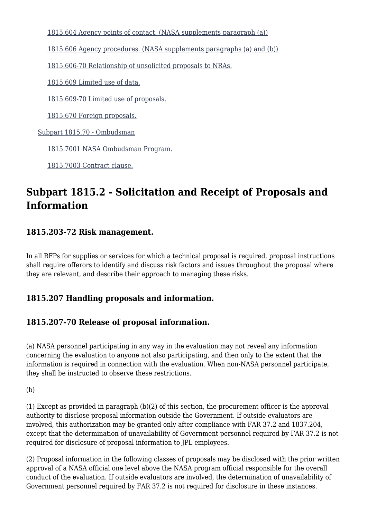[1815.604 Agency points of contact. \(NASA supplements paragraph \(a\)\)](https://login.acquisition.gov/%5Brp:link:nfs-part-1815%5D#Section_1815_604_T48_6041814512)

[1815.606 Agency procedures. \(NASA supplements paragraphs \(a\) and \(b\)\)](https://login.acquisition.gov/%5Brp:link:nfs-part-1815%5D#Section_1815_606_T48_6041814513)

[1815.606-70 Relationship of unsolicited proposals to NRAs.](https://login.acquisition.gov/%5Brp:link:nfs-part-1815%5D#Section_1815_606_70_T48_6041814514)

[1815.609 Limited use of data.](https://login.acquisition.gov/%5Brp:link:nfs-part-1815%5D#Section_1815_609_T48_6041814515)

[1815.609-70 Limited use of proposals.](https://login.acquisition.gov/%5Brp:link:nfs-part-1815%5D#Section_1815_609_70_T48_6041814516)

[1815.670 Foreign proposals.](https://login.acquisition.gov/%5Brp:link:nfs-part-1815%5D#Section_1815_670_T48_6041814517)

[Subpart 1815.70 - Ombudsman](https://login.acquisition.gov/%5Brp:link:nfs-part-1815%5D#Subpart_1815_70_T48_60418146)

[1815.7001 NASA Ombudsman Program.](https://login.acquisition.gov/%5Brp:link:nfs-part-1815%5D#Section_1815_7001_T48_6041814611)

[1815.7003 Contract clause.](https://login.acquisition.gov/%5Brp:link:nfs-part-1815%5D#Section_1815_7003_T48_6041814612)

# **Subpart 1815.2 - Solicitation and Receipt of Proposals and Information**

#### **1815.203-72 Risk management.**

In all RFPs for supplies or services for which a technical proposal is required, proposal instructions shall require offerors to identify and discuss risk factors and issues throughout the proposal where they are relevant, and describe their approach to managing these risks.

### **1815.207 Handling proposals and information.**

### **1815.207-70 Release of proposal information.**

(a) NASA personnel participating in any way in the evaluation may not reveal any information concerning the evaluation to anyone not also participating, and then only to the extent that the information is required in connection with the evaluation. When non-NASA personnel participate, they shall be instructed to observe these restrictions.

(b)

(1) Except as provided in paragraph (b)(2) of this section, the procurement officer is the approval authority to disclose proposal information outside the Government. If outside evaluators are involved, this authorization may be granted only after compliance with FAR 37.2 and 1837.204, except that the determination of unavailability of Government personnel required by FAR 37.2 is not required for disclosure of proposal information to JPL employees.

(2) Proposal information in the following classes of proposals may be disclosed with the prior written approval of a NASA official one level above the NASA program official responsible for the overall conduct of the evaluation. If outside evaluators are involved, the determination of unavailability of Government personnel required by FAR 37.2 is not required for disclosure in these instances.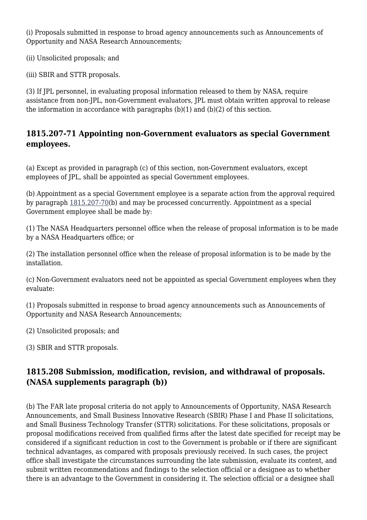(i) Proposals submitted in response to broad agency announcements such as Announcements of Opportunity and NASA Research Announcements;

(ii) Unsolicited proposals; and

(iii) SBIR and STTR proposals.

(3) If JPL personnel, in evaluating proposal information released to them by NASA, require assistance from non-JPL, non-Government evaluators, JPL must obtain written approval to release the information in accordance with paragraphs  $(b)(1)$  and  $(b)(2)$  of this section.

#### **1815.207-71 Appointing non-Government evaluators as special Government employees.**

(a) Except as provided in paragraph (c) of this section, non-Government evaluators, except employees of JPL, shall be appointed as special Government employees.

(b) Appointment as a special Government employee is a separate action from the approval required by paragraph [1815.207-70](https://login.acquisition.gov/%5Brp:link:nfs-part-1815%5D#Section_1815_207_70_T48_6041814113)(b) and may be processed concurrently. Appointment as a special Government employee shall be made by:

(1) The NASA Headquarters personnel office when the release of proposal information is to be made by a NASA Headquarters office; or

(2) The installation personnel office when the release of proposal information is to be made by the installation.

(c) Non-Government evaluators need not be appointed as special Government employees when they evaluate:

(1) Proposals submitted in response to broad agency announcements such as Announcements of Opportunity and NASA Research Announcements;

(2) Unsolicited proposals; and

(3) SBIR and STTR proposals.

### **1815.208 Submission, modification, revision, and withdrawal of proposals. (NASA supplements paragraph (b))**

(b) The FAR late proposal criteria do not apply to Announcements of Opportunity, NASA Research Announcements, and Small Business Innovative Research (SBIR) Phase I and Phase II solicitations, and Small Business Technology Transfer (STTR) solicitations. For these solicitations, proposals or proposal modifications received from qualified firms after the latest date specified for receipt may be considered if a significant reduction in cost to the Government is probable or if there are significant technical advantages, as compared with proposals previously received. In such cases, the project office shall investigate the circumstances surrounding the late submission, evaluate its content, and submit written recommendations and findings to the selection official or a designee as to whether there is an advantage to the Government in considering it. The selection official or a designee shall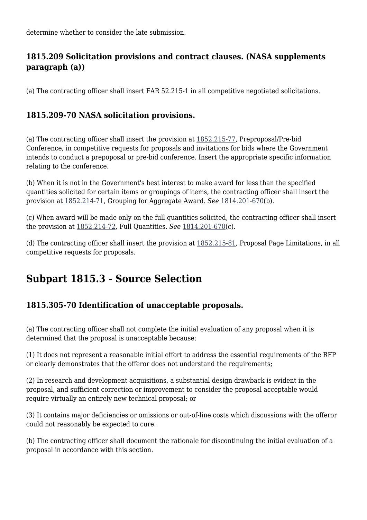determine whether to consider the late submission.

#### **1815.209 Solicitation provisions and contract clauses. (NASA supplements paragraph (a))**

(a) The contracting officer shall insert FAR 52.215-1 in all competitive negotiated solicitations.

#### **1815.209-70 NASA solicitation provisions.**

(a) The contracting officer shall insert the provision at [1852.215-77](https://login.acquisition.gov/%5Brp:link:nfs-part-1852%5D#Section_1852_215_77_T48_60423441115), Preproposal/Pre-bid Conference, in competitive requests for proposals and invitations for bids where the Government intends to conduct a prepoposal or pre-bid conference. Insert the appropriate specific information relating to the conference.

(b) When it is not in the Government's best interest to make award for less than the specified quantities solicited for certain items or groupings of items, the contracting officer shall insert the provision at [1852.214-71](https://login.acquisition.gov/%5Brp:link:nfs-part-1852%5D#Section_1852_214_71_T48_60423441113), Grouping for Aggregate Award. *See* [1814.201-670\(](https://login.acquisition.gov/%5Brp:link:nfs-part-1814%5D#Section_1814_201_670_T48_6041813112)b).

(c) When award will be made only on the full quantities solicited, the contracting officer shall insert the provision at [1852.214-72,](https://login.acquisition.gov/%5Brp:link:nfs-part-1852%5D#Section_1852_214_72_T48_60423441114) Full Quantities. *See* [1814.201-670\(](https://login.acquisition.gov/%5Brp:link:nfs-part-1814%5D#Section_1814_201_670_T48_6041813112)c).

(d) The contracting officer shall insert the provision at  $1852.215-81$ , Proposal Page Limitations, in all competitive requests for proposals.

# **Subpart 1815.3 - Source Selection**

### **1815.305-70 Identification of unacceptable proposals.**

(a) The contracting officer shall not complete the initial evaluation of any proposal when it is determined that the proposal is unacceptable because:

(1) It does not represent a reasonable initial effort to address the essential requirements of the RFP or clearly demonstrates that the offeror does not understand the requirements;

(2) In research and development acquisitions, a substantial design drawback is evident in the proposal, and sufficient correction or improvement to consider the proposal acceptable would require virtually an entirely new technical proposal; or

(3) It contains major deficiencies or omissions or out-of-line costs which discussions with the offeror could not reasonably be expected to cure.

(b) The contracting officer shall document the rationale for discontinuing the initial evaluation of a proposal in accordance with this section.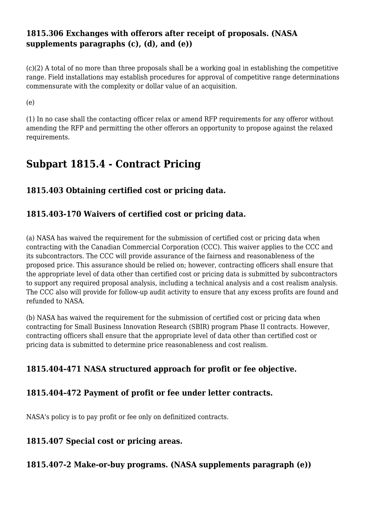#### **1815.306 Exchanges with offerors after receipt of proposals. (NASA supplements paragraphs (c), (d), and (e))**

(c)(2) A total of no more than three proposals shall be a working goal in establishing the competitive range. Field installations may establish procedures for approval of competitive range determinations commensurate with the complexity or dollar value of an acquisition.

(e)

(1) In no case shall the contacting officer relax or amend RFP requirements for any offeror without amending the RFP and permitting the other offerors an opportunity to propose against the relaxed requirements.

# **Subpart 1815.4 - Contract Pricing**

### **1815.403 Obtaining certified cost or pricing data.**

#### **1815.403-170 Waivers of certified cost or pricing data.**

(a) NASA has waived the requirement for the submission of certified cost or pricing data when contracting with the Canadian Commercial Corporation (CCC). This waiver applies to the CCC and its subcontractors. The CCC will provide assurance of the fairness and reasonableness of the proposed price. This assurance should be relied on; however, contracting officers shall ensure that the appropriate level of data other than certified cost or pricing data is submitted by subcontractors to support any required proposal analysis, including a technical analysis and a cost realism analysis. The CCC also will provide for follow-up audit activity to ensure that any excess profits are found and refunded to NASA.

(b) NASA has waived the requirement for the submission of certified cost or pricing data when contracting for Small Business Innovation Research (SBIR) program Phase II contracts. However, contracting officers shall ensure that the appropriate level of data other than certified cost or pricing data is submitted to determine price reasonableness and cost realism.

### **1815.404-471 NASA structured approach for profit or fee objective.**

#### **1815.404-472 Payment of profit or fee under letter contracts.**

NASA's policy is to pay profit or fee only on definitized contracts.

#### **1815.407 Special cost or pricing areas.**

**1815.407-2 Make-or-buy programs. (NASA supplements paragraph (e))**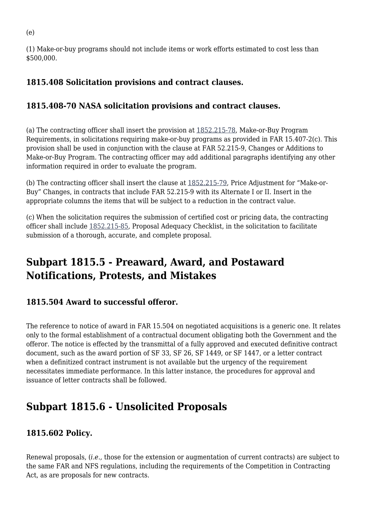(1) Make-or-buy programs should not include items or work efforts estimated to cost less than \$500,000.

### **1815.408 Solicitation provisions and contract clauses.**

### **1815.408-70 NASA solicitation provisions and contract clauses.**

(a) The contracting officer shall insert the provision at [1852.215-78](https://login.acquisition.gov/%5Brp:link:nfs-part-1852%5D#Section_1852_215_78_T48_60423441116), Make-or-Buy Program Requirements, in solicitations requiring make-or-buy programs as provided in FAR 15.407-2(c). This provision shall be used in conjunction with the clause at FAR 52.215-9, Changes or Additions to Make-or-Buy Program. The contracting officer may add additional paragraphs identifying any other information required in order to evaluate the program.

(b) The contracting officer shall insert the clause at [1852.215-79](https://login.acquisition.gov/%5Brp:link:nfs-part-1852%5D#Section_1852_215_79_T48_60423441117), Price Adjustment for "Make-or-Buy" Changes, in contracts that include FAR 52.215-9 with its Alternate I or II. Insert in the appropriate columns the items that will be subject to a reduction in the contract value.

(c) When the solicitation requires the submission of certified cost or pricing data, the contracting officer shall include [1852.215-85](https://login.acquisition.gov/%5Brp:link:nfs-part-1852%5D#Section_1852_215_85_T48_60423441120), Proposal Adequacy Checklist, in the solicitation to facilitate submission of a thorough, accurate, and complete proposal.

# **Subpart 1815.5 - Preaward, Award, and Postaward Notifications, Protests, and Mistakes**

### **1815.504 Award to successful offeror.**

The reference to notice of award in FAR 15.504 on negotiated acquisitions is a generic one. It relates only to the formal establishment of a contractual document obligating both the Government and the offeror. The notice is effected by the transmittal of a fully approved and executed definitive contract document, such as the award portion of SF 33, SF 26, SF 1449, or SF 1447, or a letter contract when a definitized contract instrument is not available but the urgency of the requirement necessitates immediate performance. In this latter instance, the procedures for approval and issuance of letter contracts shall be followed.

# **Subpart 1815.6 - Unsolicited Proposals**

### **1815.602 Policy.**

Renewal proposals, (*i.e.,* those for the extension or augmentation of current contracts) are subject to the same FAR and NFS regulations, including the requirements of the Competition in Contracting Act, as are proposals for new contracts.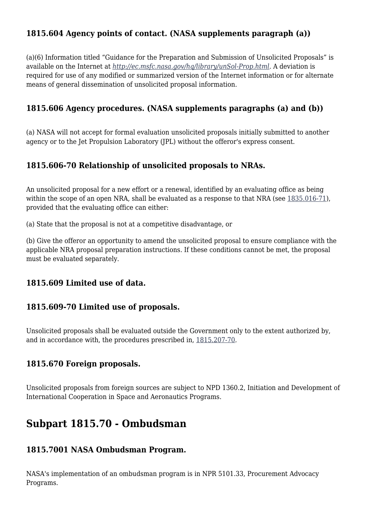### **1815.604 Agency points of contact. (NASA supplements paragraph (a))**

(a)(6) Information titled "Guidance for the Preparation and Submission of Unsolicited Proposals" is available on the Internet at *<http://ec.msfc.nasa.gov/hq/library/unSol-Prop.html>.* A deviation is required for use of any modified or summarized version of the Internet information or for alternate means of general dissemination of unsolicited proposal information.

#### **1815.606 Agency procedures. (NASA supplements paragraphs (a) and (b))**

(a) NASA will not accept for formal evaluation unsolicited proposals initially submitted to another agency or to the Jet Propulsion Laboratory (JPL) without the offeror's express consent.

#### **1815.606-70 Relationship of unsolicited proposals to NRAs.**

An unsolicited proposal for a new effort or a renewal, identified by an evaluating office as being within the scope of an open NRA, shall be evaluated as a response to that NRA (see  $1835.016-71$ ), provided that the evaluating office can either:

(a) State that the proposal is not at a competitive disadvantage, or

(b) Give the offeror an opportunity to amend the unsolicited proposal to ensure compliance with the applicable NRA proposal preparation instructions. If these conditions cannot be met, the proposal must be evaluated separately.

#### **1815.609 Limited use of data.**

#### **1815.609-70 Limited use of proposals.**

Unsolicited proposals shall be evaluated outside the Government only to the extent authorized by, and in accordance with, the procedures prescribed in, [1815.207-70](https://login.acquisition.gov/%5Brp:link:nfs-part-1815%5D#Section_1815_207_70_T48_6041814113).

#### **1815.670 Foreign proposals.**

Unsolicited proposals from foreign sources are subject to NPD 1360.2, Initiation and Development of International Cooperation in Space and Aeronautics Programs.

### **Subpart 1815.70 - Ombudsman**

#### **1815.7001 NASA Ombudsman Program.**

NASA's implementation of an ombudsman program is in NPR 5101.33, Procurement Advocacy Programs.